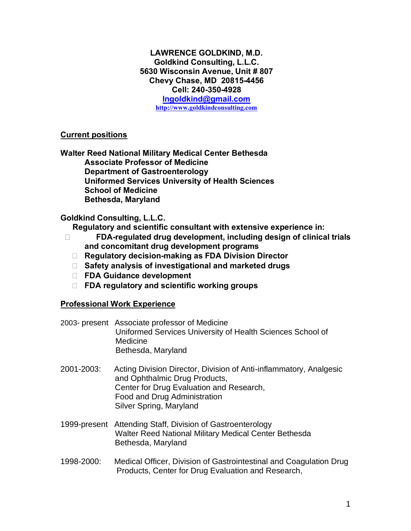## **LAWRENCE GOLDKIND, M.D. Goldkind Consulting, L.L.C. 5630 Wisconsin Avenue, Unit # 807 Chevy Chase, MD 20815-4456 Cell: 240-350-4928**

**lngoldkind@gmail.com http://www.goldkindconsulting.com**

## **Current positions**

**Walter Reed National Military Medical Center Bethesda Associate Professor of Medicine Department of Gastroenterology Uniformed Services University of Health Sciences School of Medicine Bethesda, Maryland**

# **Goldkind Consulting, L.L.C.**

**Regulatory and scientific consultant with extensive experience in:** 

- **FDA-regulated drug development, including design of clinical trials and concomitant drug development programs** 
	- **Regulatory decision-making as FDA Division Director**
	- **Safety analysis of investigational and marketed drugs**
	- **FDA Guidance development**
	- **FDA regulatory and scientific working groups**

# **Professional Work Experience**

- 2003- present Associate professor of Medicine Uniformed Services University of Health Sciences School of Medicine Bethesda, Maryland
- 2001-2003: Acting Division Director, Division of Anti-inflammatory, Analgesic and Ophthalmic Drug Products, Center for Drug Evaluation and Research, Food and Drug Administration Silver Spring, Maryland
- 1999-present Attending Staff, Division of Gastroenterology Walter Reed National Military Medical Center Bethesda Bethesda, Maryland
- 1998-2000: Medical Officer, Division of Gastrointestinal and Coagulation Drug Products, Center for Drug Evaluation and Research,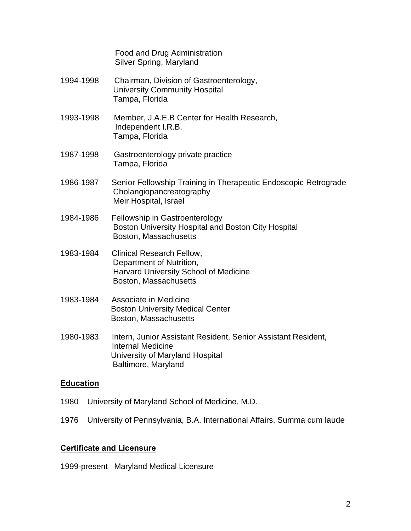Food and Drug Administration Silver Spring, Maryland

- 1994-1998 Chairman, Division of Gastroenterology, University Community Hospital Tampa, Florida
- 1993-1998 Member, J.A.E.B Center for Health Research, Independent I.R.B. Tampa, Florida
- 1987-1998 Gastroenterology private practice Tampa, Florida
- 1986-1987 Senior Fellowship Training in Therapeutic Endoscopic Retrograde Cholangiopancreatography Meir Hospital, Israel
- 1984-1986 Fellowship in Gastroenterology Boston University Hospital and Boston City Hospital Boston, Massachusetts
- 1983-1984 Clinical Research Fellow, Department of Nutrition, Harvard University School of Medicine Boston, Massachusetts
- 1983-1984 Associate in Medicine Boston University Medical Center Boston, Massachusetts
- 1980-1983 Intern, Junior Assistant Resident, Senior Assistant Resident, Internal Medicine University of Maryland Hospital Baltimore, Maryland

## **Education**

- 1980 University of Maryland School of Medicine, M.D.
- 1976 University of Pennsylvania, B.A. International Affairs, Summa cum laude

# **Certificate and Licensure**

1999-present Maryland Medical Licensure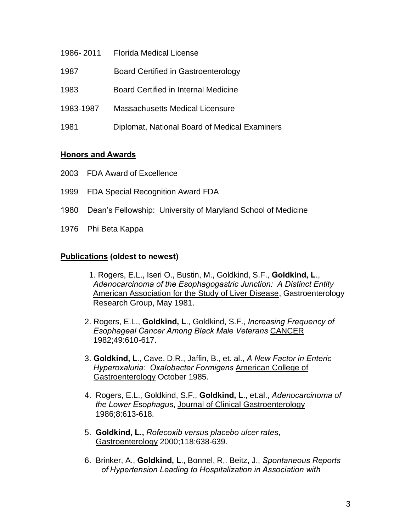- 1986- 2011 Florida Medical License
- 1987 Board Certified in Gastroenterology
- 1983 Board Certified in Internal Medicine
- 1983-1987 Massachusetts Medical Licensure
- 1981 Diplomat, National Board of Medical Examiners

#### **Honors and Awards**

- 2003 FDA Award of Excellence
- 1999 FDA Special Recognition Award FDA
- 1980 Dean's Fellowship: University of Maryland School of Medicine
- 1976 Phi Beta Kappa

#### **Publications (oldest to newest)**

- 1. Rogers, E.L., Iseri O., Bustin, M., Goldkind, S.F., **Goldkind, L**., *Adenocarcinoma of the Esophagogastric Junction: A Distinct Entity*  American Association for the Study of Liver Disease, Gastroenterology Research Group, May 1981.
- 2. Rogers, E.L., **Goldkind, L**., Goldkind, S.F., *Increasing Frequency of Esophageal Cancer Among Black Male Veterans* CANCER 1982;49:610-617.
- 3. **Goldkind, L**., Cave, D.R., Jaffin, B., et. al., *A New Factor in Enteric Hyperoxaluria: Oxalobacter Formigens* American College of Gastroenterology October 1985.
- 4. Rogers, E.L., Goldkind, S.F., **Goldkind, L**., et.al., *Adenocarcinoma of the Lower Esophagus*, Journal of Clinical Gastroenterology 1986;8:613-618.
- 5. **Goldkind, L.,** *Rofecoxib versus placebo ulcer rates*, Gastroenterology 2000;118:638-639.
- 6. Brinker, A., **Goldkind, L**., Bonnel, R,. Beitz, J., *Spontaneous Reports of Hypertension Leading to Hospitalization in Association with*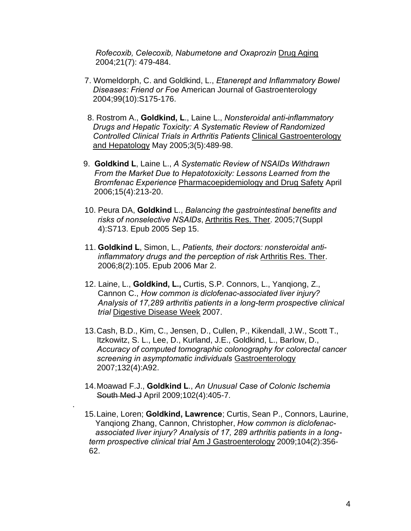*Rofecoxib, Celecoxib, Nabumetone and Oxaprozin* Drug Aging 2004;21(7): 479-484.

- 7. Womeldorph, C. and Goldkind, L., *Etanerept and Inflammatory Bowel Diseases: Friend or Foe* American Journal of Gastroenterology 2004;99(10):S175-176.
- 8. Rostrom A., **Goldkind, L**., Laine L., *Nonsteroidal anti-inflammatory Drugs and Hepatic Toxicity: A Systematic Review of Randomized Controlled Clinical Trials in Arthritis Patients* Clinical Gastroenterology and Hepatology May 2005;3(5):489-98.
- 9. **Goldkind L**, Laine L., *A Systematic Review of NSAIDs Withdrawn From the Market Due to Hepatotoxicity: Lessons Learned from the Bromfenac Experience* Pharmacoepidemiology and Drug Safety April 2006;15(4):213-20.
- 10. Peura DA, **Goldkind** L., *Balancing the gastrointestinal benefits and risks of nonselective NSAIDs*, Arthritis Res. Ther. 2005;7(Suppl 4):S713. Epub 2005 Sep 15.
- 11. **Goldkind L**, Simon, L., *Patients, their doctors: nonsteroidal anti inflammatory drugs and the perception of risk* Arthritis Res. Ther. 2006;8(2):105. Epub 2006 Mar 2.
- 12. Laine, L., **Goldkind, L.,** Curtis, S.P. Connors, L., Yangiong, Z., Cannon C., *How common is diclofenac-associated liver injury? Analysis of 17,289 arthritis patients in a long-term prospective clinical trial* Digestive Disease Week 2007.
- 13.Cash, B.D., Kim, C., Jensen, D., Cullen, P., Kikendall, J.W., Scott T., Itzkowitz, S. L., Lee, D., Kurland, J.E., Goldkind, L., Barlow, D., *Accuracy of computed tomographic colonography for colorectal cancer screening in asymptomatic individuals* Gastroenterology 2007;132(4):A92.
- 14.Moawad F.J., **Goldkind L**., *An Unusual Case of Colonic Ischemia* South Med J April 2009;102(4):405-7.

.

15.Laine, Loren; **Goldkind, Lawrence**; Curtis, Sean P., Connors, Laurine, Yanqiong Zhang, Cannon, Christopher, *How common is diclofenac associated liver injury? Analysis of 17, 289 arthritis patients in a long term prospective clinical trial* Am J Gastroenterology 2009;104(2):356- 62.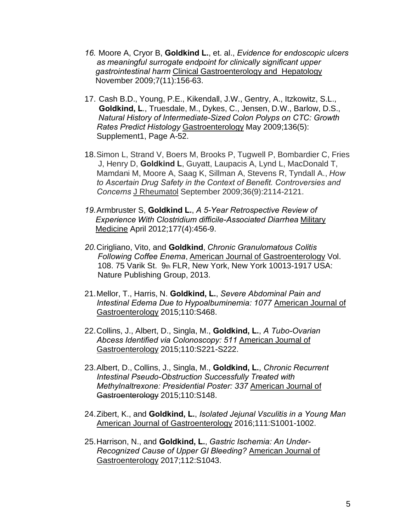- *16.* Moore A, Cryor B, **Goldkind L.**, et. al., *Evidence for endoscopic ulcers as meaningful surrogate endpoint for clinically significant upper gastrointestinal harm* Clinical Gastroenterology and Hepatology November 2009;7(11):156-63.
- 17. Cash B.D., Young, P.E., Kikendall, J.W., Gentry, A., Itzkowitz, S.L., **Goldkind, L**., Truesdale, M., Dykes, C., Jensen, D.W., Barlow, D.S., *Natural History of Intermediate-Sized Colon Polyps on CTC: Growth Rates Predict Histology* Gastroenterology May 2009;136(5): Supplement1, Page A-52.
- 18.Simon L, Strand V, Boers M, Brooks P, Tugwell P, Bombardier C, Fries J, Henry D, **Goldkind L**, Guyatt, Laupacis A, Lynd L, MacDonald T, Mamdani M, Moore A, Saag K, Sillman A, Stevens R, Tyndall A., *How to Ascertain Drug Safety in the Context of Benefit. Controversies and Concerns* J Rheumatol September 2009;36(9):2114-2121.
- *19.*Armbruster S, **Goldkind L.**, *A 5-Year Retrospective Review of Experience With Clostridium difficile-Associated Diarrhea* Military Medicine April 2012;177(4):456-9.
- *20.*Cirigliano, Vito, and **Goldkind**, *Chronic Granulomatous Colitis Following Coffee Enema*, American Journal of Gastroenterology Vol. 108. 75 Varik St. 9th FLR, New York, New York 10013-1917 USA: Nature Publishing Group, 2013.
- 21.Mellor, T., Harris, N. **Goldkind, L.**, *Severe Abdominal Pain and Intestinal Edema Due to Hypoalbuminemia: 1077* American Journal of Gastroenterology 2015;110:S468.
- 22.Collins, J., Albert, D., Singla, M., **Goldkind, L.**, *A Tubo-Ovarian Abcess Identified via Colonoscopy: 511* American Journal of Gastroenterology 2015;110:S221-S222.
- 23.Albert, D., Collins, J., Singla, M., **Goldkind, L.**, *Chronic Recurrent Intestinal Pseudo-Obstruction Successfully Treated with Methylnaltrexone: Presidential Poster: 337* American Journal of Gastroenterology 2015;110:S148.
- 24.Zibert, K., and **Goldkind, L.**, *Isolated Jejunal Vsculitis in a Young Man* American Journal of Gastroenterology 2016;111:S1001-1002.
- 25.Harrison, N., and **Goldkind, L.**, *Gastric Ischemia: An Under-Recognized Cause of Upper GI Bleeding?* American Journal of Gastroenterology 2017;112:S1043.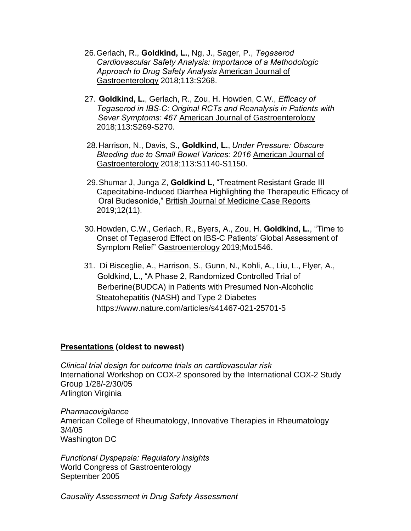- 26.Gerlach, R., **Goldkind, L.**, Ng, J., Sager, P., *Tegaserod Cardiovascular Safety Analysis: Importance of a Methodologic Approach to Drug Safety Analysis* American Journal of Gastroenterology 2018;113:S268.
- 27. **Goldkind, L.**, Gerlach, R., Zou, H. Howden, C.W., *Efficacy of Tegaserod in IBS-C: Original RCTs and Reanalysis in Patients with Sever Symptoms: 467* American Journal of Gastroenterology 2018;113:S269-S270.
- 28.Harrison, N., Davis, S., **Goldkind, L.**, *Under Pressure: Obscure Bleeding due to Small Bowel Varices: 2016* American Journal of Gastroenterology 2018;113:S1140-S1150.
- 29.Shumar J, Junga Z, **Goldkind L**, "Treatment Resistant Grade III Capecitabine-Induced Diarrhea Highlighting the Therapeutic Efficacy of Oral Budesonide," British Journal of Medicine Case Reports 2019;12(11).
- 30.Howden, C.W., Gerlach, R., Byers, A., Zou, H. **Goldkind, L.**, "Time to Onset of Tegaserod Effect on IBS-C Patients' Global Assessment of Symptom Relief" Gastroenterology 2019;Mo1546.
- 31. Di Bisceglie, A., Harrison, S., Gunn, N., Kohli, A., Liu, L., Flyer, A., Goldkind, L., "A Phase 2, Randomized Controlled Trial of Berberine(BUDCA) in Patients with Presumed Non-Alcoholic Steatohepatitis (NASH) and Type 2 Diabetes https://www.nature.com/articles/s41467-021-25701-5

## **Presentations (oldest to newest)**

*Clinical trial design for outcome trials on cardiovascular risk*  International Workshop on COX-2 sponsored by the International COX-2 Study Group 1/28/-2/30/05 Arlington Virginia

*Pharmacovigilance*  American College of Rheumatology, Innovative Therapies in Rheumatology 3/4/05 Washington DC

*Functional Dyspepsia: Regulatory insights*  World Congress of Gastroenterology September 2005

*Causality Assessment in Drug Safety Assessment*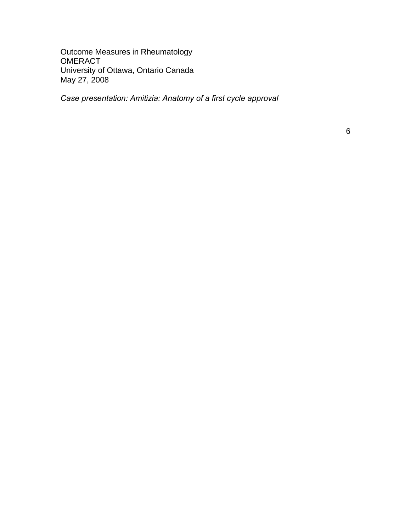Outcome Measures in Rheumatology **OMERACT** University of Ottawa, Ontario Canada May 27, 2008

*Case presentation: Amitizia: Anatomy of a first cycle approval*